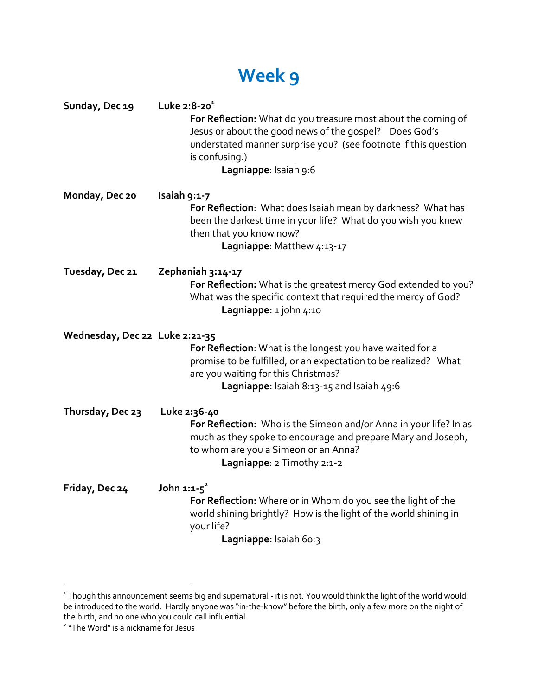## **Week 9**

| Sunday, Dec 19                 | Luke $2:8-20^1$<br>For Reflection: What do you treasure most about the coming of<br>Jesus or about the good news of the gospel? Does God's<br>understated manner surprise you? (see footnote if this question<br>is confusing.)<br>Lagniappe: Isaiah 9:6 |
|--------------------------------|----------------------------------------------------------------------------------------------------------------------------------------------------------------------------------------------------------------------------------------------------------|
| Monday, Dec 20                 | Isaiah 9:1-7<br>For Reflection: What does Isaiah mean by darkness? What has<br>been the darkest time in your life? What do you wish you knew<br>then that you know now?<br>Lagniappe: Matthew 4:13-17                                                    |
| Tuesday, Dec 21                | Zephaniah 3:14-17<br>For Reflection: What is the greatest mercy God extended to you?<br>What was the specific context that required the mercy of God?<br>Lagniappe: 1 john 4:10                                                                          |
| Wednesday, Dec 22 Luke 2:21-35 | For Reflection: What is the longest you have waited for a<br>promise to be fulfilled, or an expectation to be realized? What<br>are you waiting for this Christmas?<br>Lagniappe: Isaiah 8:13-15 and Isaiah 49:6                                         |
| Thursday, Dec 23               | Luke 2:36-40<br>For Reflection: Who is the Simeon and/or Anna in your life? In as<br>much as they spoke to encourage and prepare Mary and Joseph,<br>to whom are you a Simeon or an Anna?<br>Lagniappe: 2 Timothy 2:1-2                                  |
| Friday, Dec 24                 | John $1:1-5^2$<br>For Reflection: Where or in Whom do you see the light of the<br>world shining brightly? How is the light of the world shining in<br>your life?<br>Lagniappe: Isaiah 60:3                                                               |

<sup>&</sup>lt;sup>1</sup> Though this announcement seems big and supernatural - it is not. You would think the light of the world would be introduced to the world. Hardly anyone was "in-the-know" before the birth, only a few more on the night of the birth, and no one who you could call influential.

<sup>2</sup> "The Word" is a nickname for Jesus